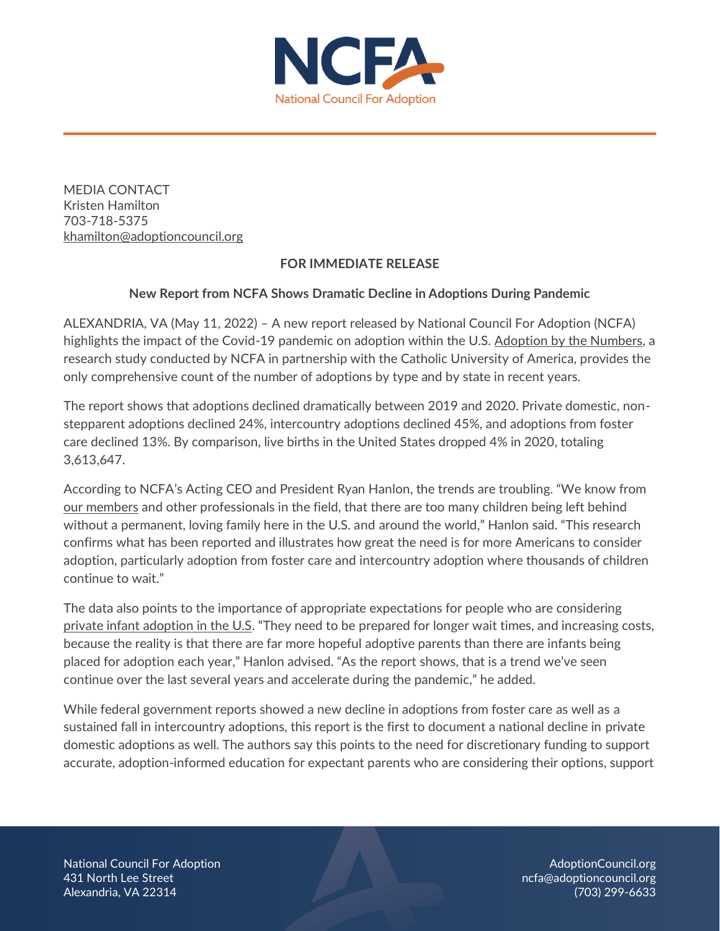

MEDIA CONTACT Kristen Hamilton 703-718-5375 [khamilton@adoptioncouncil.org](mailto:khamilton@adoptioncouncil.org)

## **FOR IMMEDIATE RELEASE**

## **New Report from NCFA Shows Dramatic Decline in Adoptions During Pandemic**

ALEXANDRIA, VA (May 11, 2022) – A new report released by National Council For Adoption (NCFA) highlights the impact of the Covid-19 pandemic on adoption within the U.S. [Adoption by the Numbers,](https://adoptioncouncil.org/numbers) a research study conducted by NCFA in partnership with the Catholic University of America, provides the only comprehensive count of the number of adoptions by type and by state in recent years.

The report shows that adoptions declined dramatically between 2019 and 2020. Private domestic, nonstepparent adoptions declined 24%, intercountry adoptions declined 45%, and adoptions from foster care declined 13%. By comparison, live births in the United States dropped 4% in 2020, totaling 3,613,647.

According to NCFA's Acting CEO and President Ryan Hanlon, the trends are troubling. "We know from [our members](https://adoptioncouncil.org/directory/) and other professionals in the field, that there are too many children being left behind without a permanent, loving family here in the U.S. and around the world," Hanlon said. "This research confirms what has been reported and illustrates how great the need is for more Americans to consider adoption, particularly adoption from foster care and intercountry adoption where thousands of children continue to wait."

The data also points to the importance of appropriate expectations for people who are considering [private infant adoption in the U.S](https://adoptioncouncil.org/article/adoption-process/). "They need to be prepared for longer wait times, and increasing costs, because the reality is that there are far more hopeful adoptive parents than there are infants being placed for adoption each year," Hanlon advised. "As the report shows, that is a trend we've seen continue over the last several years and accelerate during the pandemic," he added.

While federal government reports showed a new decline in adoptions from foster care as well as a sustained fall in intercountry adoptions, this report is the first to document a national decline in private domestic adoptions as well. The authors say this points to the need for discretionary funding to support accurate, adoption-informed education for expectant parents who are considering their options, support

National Council For Adoption AdoptionCouncil.org A31 North Lee Street **1986 Contained Act and Contained Act and Contained Act and Contained Act and Contained Act and Contained Act and Contained Act and Contained Act and Contained Act and Contained Act and Contained Act a** Alexandria, VA 22314 (703) 299-6633